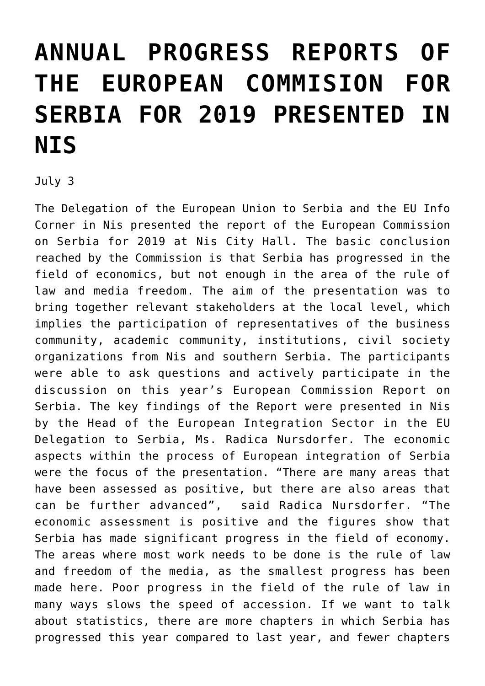## **[ANNUAL PROGRESS REPORTS OF](https://www.gu.ni.rs/2019/07/03/annual-progress-reports-of-the-european-commision-for-serbia-for-2019-presented-in-nis/) [THE EUROPEAN COMMISION FOR](https://www.gu.ni.rs/2019/07/03/annual-progress-reports-of-the-european-commision-for-serbia-for-2019-presented-in-nis/) [SERBIA FOR 2019 PRESENTED IN](https://www.gu.ni.rs/2019/07/03/annual-progress-reports-of-the-european-commision-for-serbia-for-2019-presented-in-nis/) [NIS](https://www.gu.ni.rs/2019/07/03/annual-progress-reports-of-the-european-commision-for-serbia-for-2019-presented-in-nis/)**

July 3

The Delegation of the European Union to Serbia and the EU Info Corner in Nis presented the report of the European Commission on Serbia for 2019 at Nis City Hall. The basic conclusion reached by the Commission is that Serbia has progressed in the field of economics, but not enough in the area of the rule of law and media freedom. The aim of the presentation was to bring together relevant stakeholders at the local level, which implies the participation of representatives of the business community, academic community, institutions, civil society organizations from Nis and southern Serbia. The participants were able to ask questions and actively participate in the discussion on this year's European Commission Report on Serbia. The key findings of the Report were presented in Nis by the Head of the European Integration Sector in the EU Delegation to Serbia, Ms. Radica Nursdorfer. The economic aspects within the process of European integration of Serbia were the focus of the presentation. "There are many areas that have been assessed as positive, but there are also areas that can be further advanced", said Radica Nursdorfer. "The economic assessment is positive and the figures show that Serbia has made significant progress in the field of economy. The areas where most work needs to be done is the rule of law and freedom of the media, as the smallest progress has been made here. Poor progress in the field of the rule of law in many ways slows the speed of accession. If we want to talk about statistics, there are more chapters in which Serbia has progressed this year compared to last year, and fewer chapters